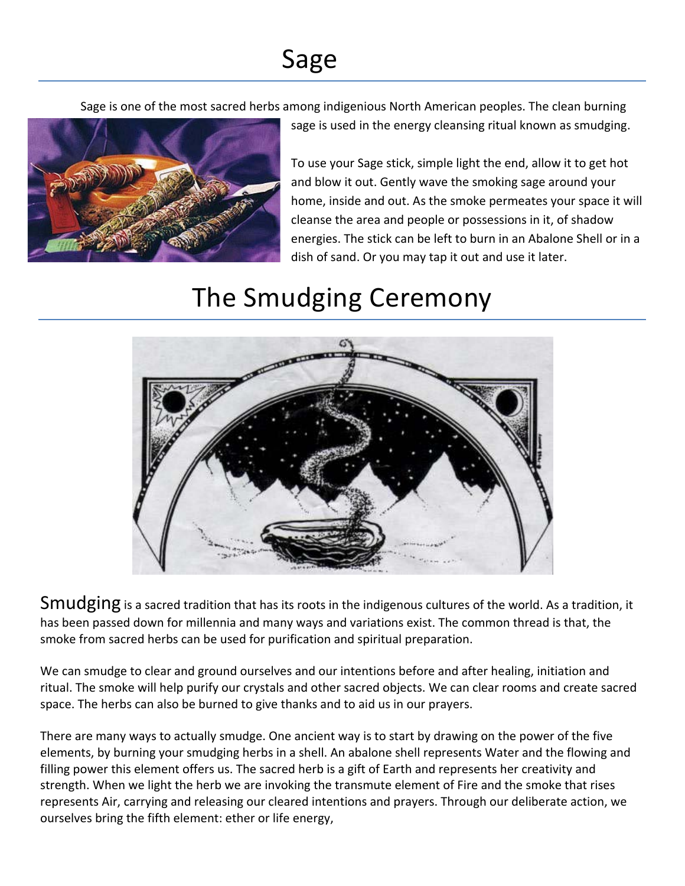## Sage

Sage is one of the most sacred herbs among indigenious North American peoples. The clean burning



To use your Sage stick, simple light the end, allow it to get hot and blow it out. Gently wave the smoking sage around your home, inside and out. As the smoke permeates your space it will cleanse the area and people or possessions in it, of shadow energies. The stick can be left to burn in an Abalone Shell or in a dish of sand. Or you may tap it out and use it later.

sage is used in the energy cleansing ritual known as smudging.

## The Smudging Ceremony



Smudging is a sacred tradition that has its roots in the indigenous cultures of the world. As a tradition, it has been passed down for millennia and many ways and variations exist. The common thread is that, the smoke from sacred herbs can be used for purification and spiritual preparation.

We can smudge to clear and ground ourselves and our intentions before and after healing, initiation and ritual. The smoke will help purify our crystals and other sacred objects. We can clear rooms and create sacred space. The herbs can also be burned to give thanks and to aid us in our prayers.

There are many ways to actually smudge. One ancient way is to start by drawing on the power of the five elements, by burning your smudging herbs in a shell. An abalone shell represents Water and the flowing and filling power this element offers us. The sacred herb is a gift of Earth and represents her creativity and strength. When we light the herb we are invoking the transmute element of Fire and the smoke that rises represents Air, carrying and releasing our cleared intentions and prayers. Through our deliberate action, we ourselves bring the fifth element: ether or life energy,